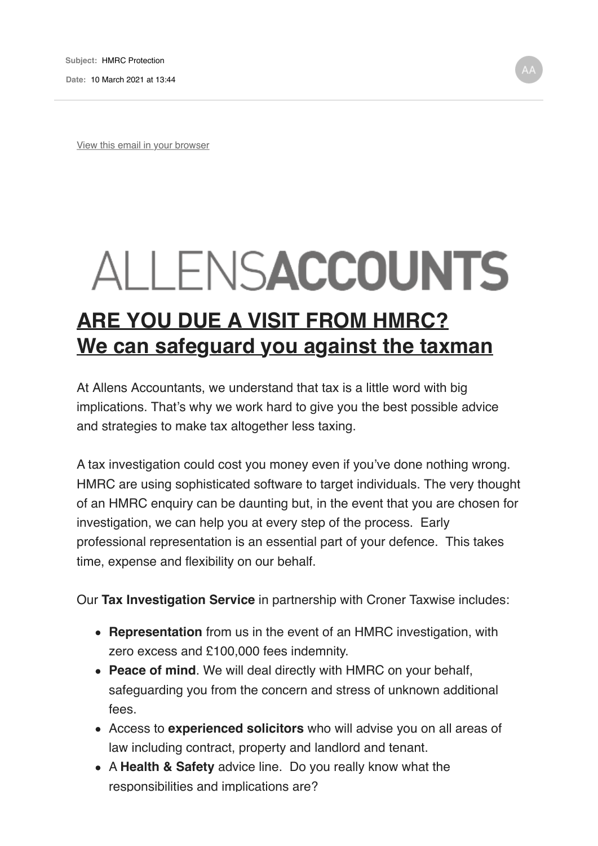**Date:** 10 March 2021 at 13:44

View this email in your browser

## ALLENSACCOUNTS

## **ARE YOU DUE A VISIT FROM HMRC? We can safeguard you against the taxman**

At Allens Accountants, we understand that tax is a little word with big implications. That's why we work hard to give you the best possible advice and strategies to make tax altogether less taxing.

A tax investigation could cost you money even if you've done nothing wrong. HMRC are using sophisticated software to target individuals. The very thought of an HMRC enquiry can be daunting but, in the event that you are chosen for investigation, we can help you at every step of the process. Early professional representation is an essential part of your defence. This takes time, expense and flexibility on our behalf.

Our **Tax Investigation Service** in partnership with Croner Taxwise includes:

- **Representation** from us in the event of an HMRC investigation, with zero excess and £100,000 fees indemnity.
- **Peace of mind**. We will deal directly with HMRC on your behalf, safeguarding you from the concern and stress of unknown additional fees.
- Access to **experienced solicitors** who will advise you on all areas of law including contract, property and landlord and tenant.
- A **Health & Safety** advice line. Do you really know what the responsibilities and implications are?